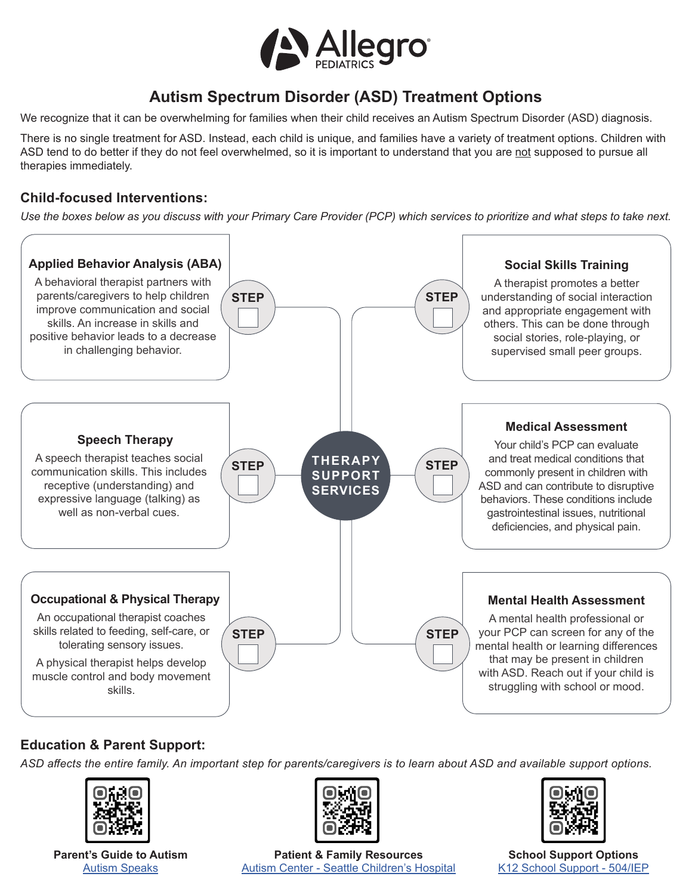

# **Autism Spectrum Disorder (ASD) Treatment Options**

We recognize that it can be overwhelming for families when their child receives an Autism Spectrum Disorder (ASD) diagnosis.

There is no single treatment for ASD. Instead, each child is unique, and families have a variety of treatment options. Children with ASD tend to do better if they do not feel overwhelmed, so it is important to understand that you are not supposed to pursue all therapies immediately.

# **Child-focused Interventions:**

*Use the boxes below as you discuss with your Primary Care Provider (PCP) which services to prioritize and what steps to take next.* 



# **Education & Parent Support:**

*ASD affects the entire family. An important step for parents/caregivers is to learn about ASD and available support options[.](https://www.healthychildren.org/English/ages-stages/teen/safety/Pages/Teen-Driving-Agreement.aspx)*



**Parent's Guide to Autism** [Autism Speaks](https://www.autismspeaks.org/sites/default/files/2018-08/Parents%20Guide%20to%20Autism.pdf)



**Patient & Family Resources** Autism Center - [Seattle Children's Hospital](https://www.seattlechildrens.org/clinics/autism-center/patient-family-resources/)



**School Support Options** [K12 School Support - 504/IEP](https://www.allegropediatrics.com/uploads/pdf/explaining-school-supports---504-plan-vs-iep.pdf)